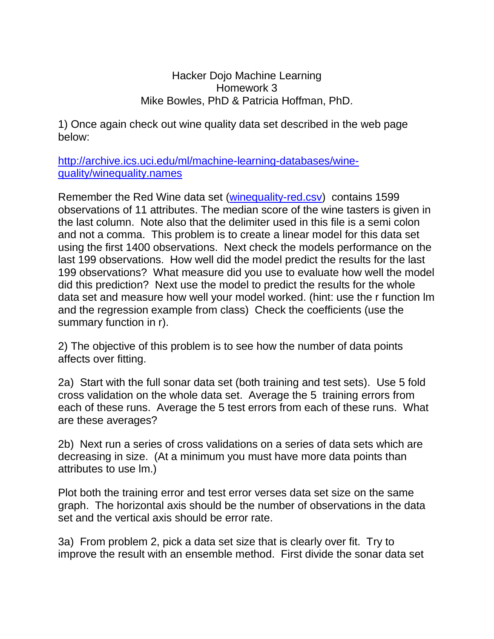Hacker Dojo Machine Learning Homework 3 Mike Bowles, PhD & Patricia Hoffman, PhD.

1) Once again check out wine quality data set described in the web page below:

[http://archive.ics.uci.edu/ml/machine-learning-databases/wine](http://archive.ics.uci.edu/ml/machine-learning-databases/wine-quality/winequality.names)[quality/winequality.names](http://archive.ics.uci.edu/ml/machine-learning-databases/wine-quality/winequality.names)

Remember the Red Wine data set [\(winequality-red.csv\)](http://machinelearning2010fall.pbworks.com/f/winequality-red.txt) contains 1599 observations of 11 attributes. The median score of the wine tasters is given in the last column. Note also that the delimiter used in this file is a semi colon and not a comma. This problem is to create a linear model for this data set using the first 1400 observations. Next check the models performance on the last 199 observations. How well did the model predict the results for the last 199 observations? What measure did you use to evaluate how well the model did this prediction? Next use the model to predict the results for the whole data set and measure how well your model worked. (hint: use the r function lm and the regression example from class) Check the coefficients (use the summary function in r).

2) The objective of this problem is to see how the number of data points affects over fitting.

2a) Start with the full sonar data set (both training and test sets). Use 5 fold cross validation on the whole data set. Average the 5 training errors from each of these runs. Average the 5 test errors from each of these runs. What are these averages?

2b) Next run a series of cross validations on a series of data sets which are decreasing in size. (At a minimum you must have more data points than attributes to use lm.)

Plot both the training error and test error verses data set size on the same graph. The horizontal axis should be the number of observations in the data set and the vertical axis should be error rate.

3a) From problem 2, pick a data set size that is clearly over fit. Try to improve the result with an ensemble method. First divide the sonar data set